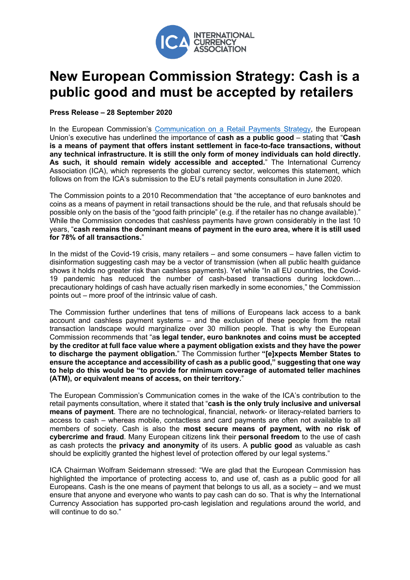

## **New European Commission Strategy: Cash is a public good and must be accepted by retailers**

**Press Release – 28 September 2020**

In the European Commission's Communication on a Retail Payments Strategy, the European Union's executive has underlined the importance of **cash as a public good** – stating that "**Cash is a means of payment that offers instant settlement in face-to-face transactions, without any technical infrastructure. It is still the only form of money individuals can hold directly. As such, it should remain widely accessible and accepted.**" The International Currency Association (ICA), which represents the global currency sector, welcomes this statement, which follows on from the ICA's submission to the EU's retail payments consultation in June 2020.

The Commission points to a 2010 Recommendation that "the acceptance of euro banknotes and coins as a means of payment in retail transactions should be the rule, and that refusals should be possible only on the basis of the "good faith principle" (e.g. if the retailer has no change available)." While the Commission concedes that cashless payments have grown considerably in the last 10 years, "**cash remains the dominant means of payment in the euro area, where it is still used for 78% of all transactions.**"

In the midst of the Covid-19 crisis, many retailers – and some consumers – have fallen victim to disinformation suggesting cash may be a vector of transmission (when all public health guidance shows it holds no greater risk than cashless payments). Yet while "In all EU countries, the Covid-19 pandemic has reduced the number of cash-based transactions during lockdown… precautionary holdings of cash have actually risen markedly in some economies," the Commission points out – more proof of the intrinsic value of cash.

The Commission further underlines that tens of millions of Europeans lack access to a bank account and cashless payment systems – and the exclusion of these people from the retail transaction landscape would marginalize over 30 million people. That is why the European Commission recommends that "a**s legal tender, euro banknotes and coins must be accepted by the creditor at full face value where a payment obligation exists and they have the power to discharge the payment obligation.**" The Commission further **"[e]xpects Member States to ensure the acceptance and accessibility of cash as a public good," suggesting that one way to help do this would be "to provide for minimum coverage of automated teller machines (ATM), or equivalent means of access, on their territory.**"

The European Commission's Communication comes in the wake of the ICA's contribution to the retail payments consultation, where it stated that "**cash is the only truly inclusive and universal means of payment**. There are no technological, financial, network- or literacy-related barriers to access to cash – whereas mobile, contactless and card payments are often not available to all members of society. Cash is also the **most secure means of payment, with no risk of cybercrime and fraud**. Many European citizens link their **personal freedom** to the use of cash as cash protects the **privacy and anonymity** of its users. A **public good** as valuable as cash should be explicitly granted the highest level of protection offered by our legal systems."

ICA Chairman Wolfram Seidemann stressed: "We are glad that the European Commission has highlighted the importance of protecting access to, and use of, cash as a public good for all Europeans. Cash is the one means of payment that belongs to us all, as a society – and we must ensure that anyone and everyone who wants to pay cash can do so. That is why the International Currency Association has supported pro-cash legislation and regulations around the world, and will continue to do so."